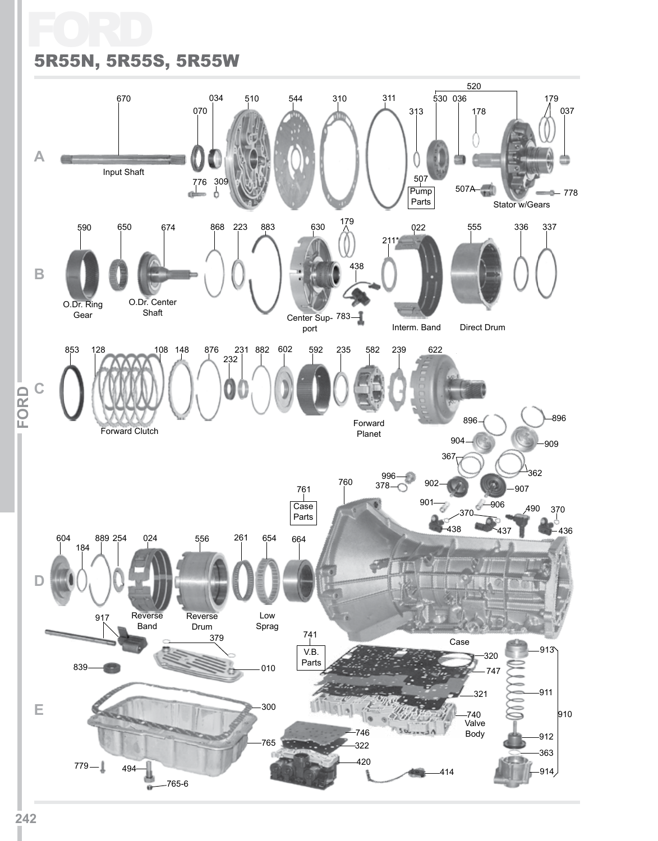# Ford 5R55N, 5R55S, 5R55W

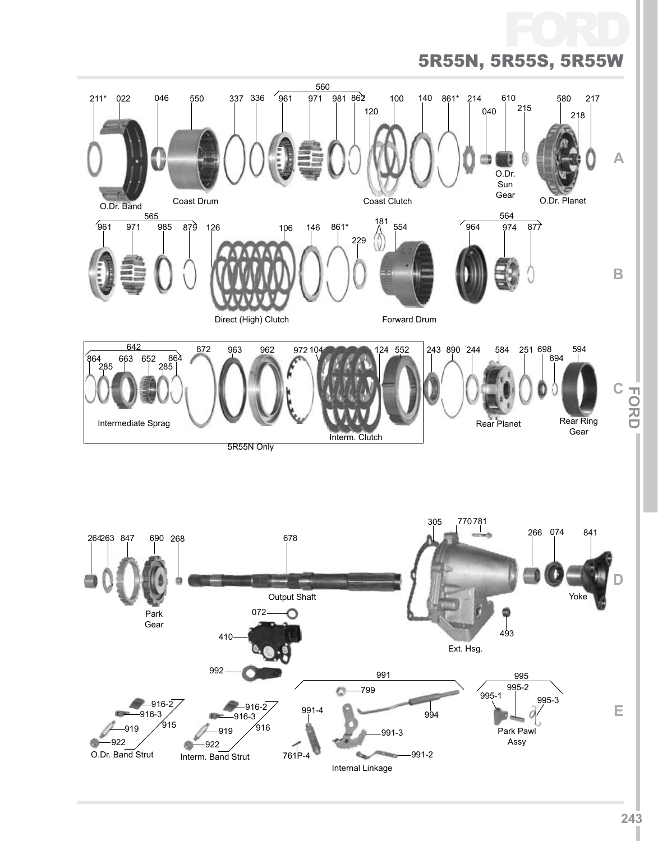

**243**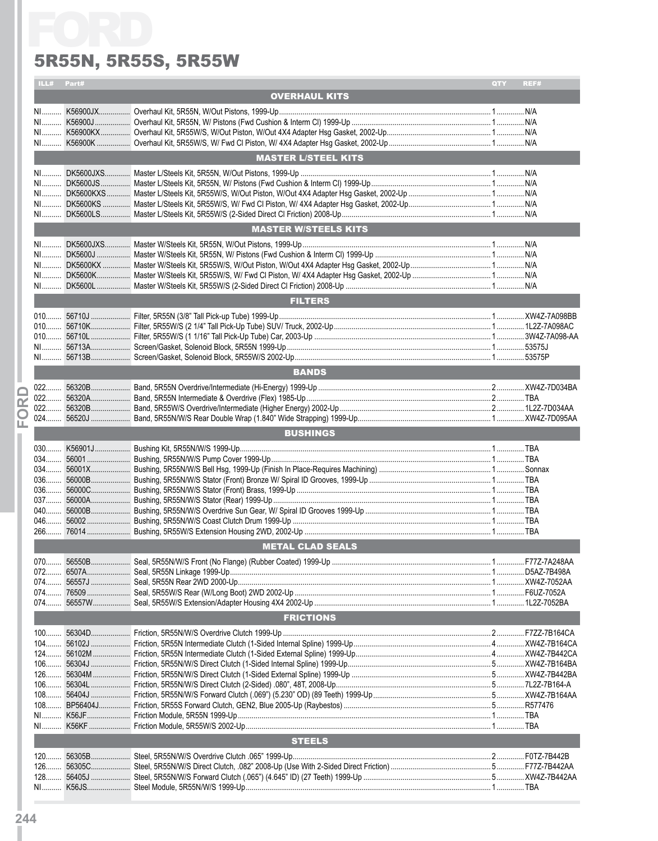#### 5R55N, 5R55S, 5R55W

|       |             | 5R55N, 5R55S, 5R55W                               |     |      |
|-------|-------------|---------------------------------------------------|-----|------|
|       | ILL# Part#  |                                                   | QTY | REF# |
|       |             | <b>OVERHAUL KITS</b>                              |     |      |
|       |             |                                                   |     |      |
|       |             |                                                   |     |      |
|       |             |                                                   |     |      |
|       |             |                                                   |     |      |
|       |             | <b>MASTER L/STEEL KITS</b>                        |     |      |
|       |             |                                                   |     |      |
|       |             |                                                   |     |      |
|       |             |                                                   |     |      |
|       |             |                                                   |     |      |
|       |             | <b>MASTER W/STEELS KITS</b>                       |     |      |
|       |             |                                                   |     |      |
|       |             |                                                   |     |      |
|       |             |                                                   |     |      |
|       |             |                                                   |     |      |
|       |             |                                                   |     |      |
|       |             | <b>FILTERS</b>                                    |     |      |
|       |             |                                                   |     |      |
|       |             |                                                   |     |      |
|       |             |                                                   |     |      |
|       |             |                                                   |     |      |
|       |             | <b>BANDS</b>                                      |     |      |
| $022$ |             |                                                   |     |      |
|       |             |                                                   |     |      |
|       |             |                                                   |     |      |
|       |             |                                                   |     |      |
|       |             | <b>BUSHINGS</b>                                   |     |      |
|       |             |                                                   |     |      |
|       |             |                                                   |     |      |
|       |             |                                                   |     |      |
| 036.  | 56000C<br>. | Bushing, 5R55N/W/S Stator (Front) Brass, 1999-Up. |     |      |
|       |             |                                                   |     |      |
|       |             |                                                   |     |      |
|       |             |                                                   |     |      |
|       |             |                                                   |     |      |
|       |             | <b>METAL CLAD SEALS</b>                           |     |      |
| $070$ |             |                                                   |     |      |
|       |             |                                                   |     |      |
|       |             |                                                   |     |      |
|       |             |                                                   |     |      |
|       |             | <b>FRICTIONS</b>                                  |     |      |
|       |             |                                                   |     |      |
|       |             |                                                   |     |      |
|       |             |                                                   |     |      |
|       |             |                                                   |     |      |
|       |             |                                                   |     |      |
|       |             |                                                   |     |      |
|       |             |                                                   |     |      |
|       |             |                                                   |     |      |
|       |             |                                                   |     |      |
|       |             | <b>STEELS</b>                                     |     |      |
|       |             |                                                   |     |      |
| $126$ |             |                                                   |     |      |
|       |             |                                                   |     |      |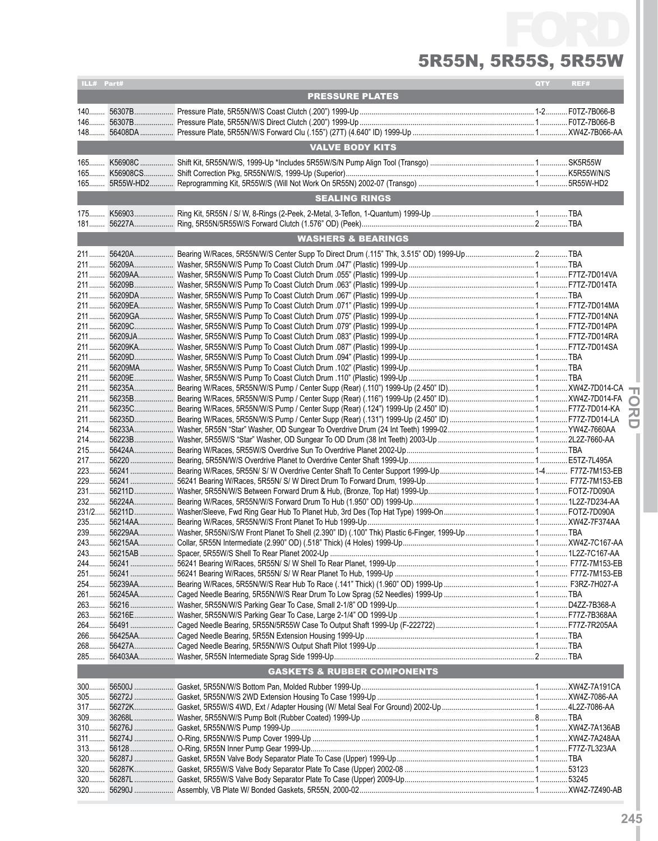# FC 5R55N, 5R55S, 5R55W

| ILL# Part# |                                        | <b>QTY</b> | REF# |
|------------|----------------------------------------|------------|------|
|            | <b>PRESSURE PLATES</b>                 |            |      |
|            |                                        |            |      |
|            |                                        |            |      |
|            |                                        |            |      |
|            | <b>VALVE BODY KITS</b>                 |            |      |
|            |                                        |            |      |
|            |                                        |            |      |
|            |                                        |            |      |
|            |                                        |            |      |
|            | <b>SEALING RINGS</b>                   |            |      |
|            |                                        |            |      |
|            |                                        |            |      |
|            | <b>WASHERS &amp; BEARINGS</b>          |            |      |
|            |                                        |            |      |
|            |                                        |            |      |
|            |                                        |            |      |
|            |                                        |            |      |
|            |                                        |            |      |
|            |                                        |            |      |
|            |                                        |            |      |
|            |                                        |            |      |
|            |                                        |            |      |
|            |                                        |            |      |
|            |                                        |            |      |
|            |                                        |            |      |
|            |                                        |            |      |
|            |                                        |            |      |
|            |                                        |            |      |
|            |                                        |            |      |
|            |                                        |            |      |
|            |                                        |            |      |
|            |                                        |            |      |
|            |                                        |            |      |
|            |                                        |            |      |
|            |                                        |            |      |
|            |                                        |            |      |
|            |                                        |            |      |
|            |                                        |            |      |
|            |                                        |            |      |
|            |                                        |            |      |
|            |                                        |            |      |
|            |                                        |            |      |
|            |                                        |            |      |
|            |                                        |            |      |
|            |                                        |            |      |
|            |                                        |            |      |
|            |                                        |            |      |
|            |                                        |            |      |
|            |                                        |            |      |
|            |                                        |            |      |
|            |                                        |            |      |
|            |                                        |            |      |
|            | <b>GASKETS &amp; RUBBER COMPONENTS</b> |            |      |
|            |                                        |            |      |
|            |                                        |            |      |
|            |                                        |            |      |
|            |                                        |            |      |
|            |                                        |            |      |
|            |                                        |            |      |
|            |                                        |            |      |
|            |                                        |            |      |
|            |                                        |            |      |
| $320$      |                                        |            |      |
|            |                                        |            |      |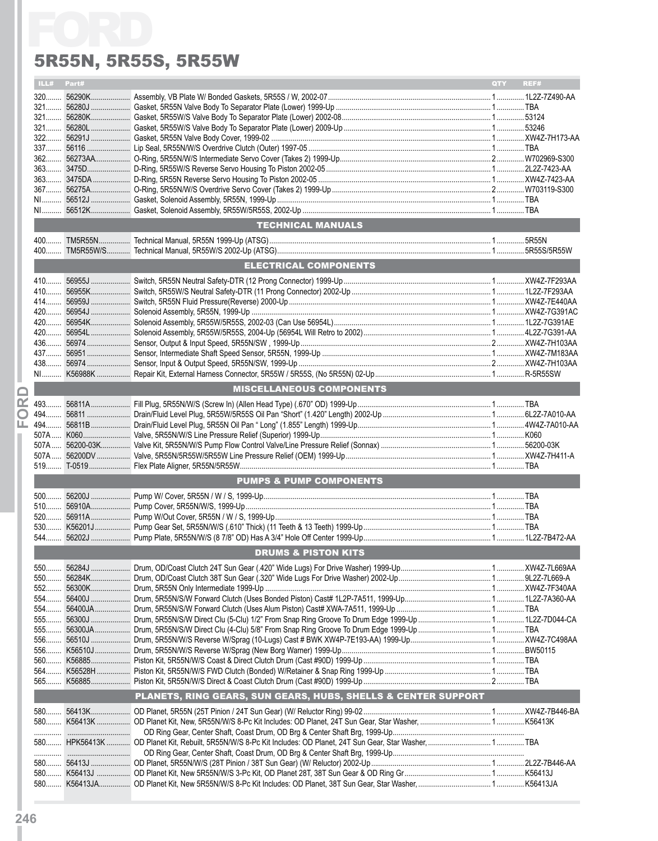#### 5R55N, 5R55S, 5R55W

|     |            | 5R55N, 5R55S, 5R55W                                           |            |      |
|-----|------------|---------------------------------------------------------------|------------|------|
|     | ILL# Part# |                                                               | <b>QTY</b> | REF# |
|     |            |                                                               |            |      |
|     |            |                                                               |            |      |
|     |            |                                                               |            |      |
|     |            |                                                               |            |      |
|     |            |                                                               |            |      |
|     |            |                                                               |            |      |
|     |            |                                                               |            |      |
|     |            |                                                               |            |      |
|     |            |                                                               |            |      |
|     |            |                                                               |            |      |
|     |            |                                                               |            |      |
|     |            | <b>TECHNICAL MANUALS</b>                                      |            |      |
|     |            |                                                               |            |      |
|     |            | <b>ELECTRICAL COMPONENTS</b>                                  |            |      |
|     |            |                                                               |            |      |
|     |            |                                                               |            |      |
|     |            |                                                               |            |      |
|     |            |                                                               |            |      |
|     |            |                                                               |            |      |
|     |            |                                                               |            |      |
|     |            |                                                               |            |      |
|     |            |                                                               |            |      |
|     |            |                                                               |            |      |
|     |            | <b>MISCELLANEOUS COMPONENTS</b>                               |            |      |
|     |            |                                                               |            |      |
|     |            |                                                               |            |      |
|     |            |                                                               |            |      |
|     |            |                                                               |            |      |
|     |            |                                                               |            |      |
|     |            |                                                               |            |      |
|     |            | <b>PUMPS &amp; PUMP COMPONENTS</b>                            |            |      |
|     |            |                                                               |            |      |
|     |            |                                                               |            |      |
|     |            |                                                               |            |      |
|     |            |                                                               |            |      |
|     |            | <b>DRUMS &amp; PISTON KITS</b>                                |            |      |
|     |            |                                                               |            |      |
| 550 |            |                                                               |            |      |
|     |            |                                                               |            |      |
|     |            |                                                               |            |      |
|     |            |                                                               |            |      |
|     |            |                                                               |            |      |
|     |            |                                                               |            |      |
|     |            |                                                               |            |      |
|     |            |                                                               |            |      |
|     |            |                                                               |            |      |
|     |            | PLANETS, RING GEARS, SUN GEARS, HUBS, SHELLS & CENTER SUPPORT |            |      |
|     |            |                                                               |            |      |
|     |            |                                                               |            |      |
|     |            |                                                               |            |      |
|     |            |                                                               |            |      |
|     |            |                                                               |            |      |
|     |            |                                                               |            |      |
|     |            |                                                               |            |      |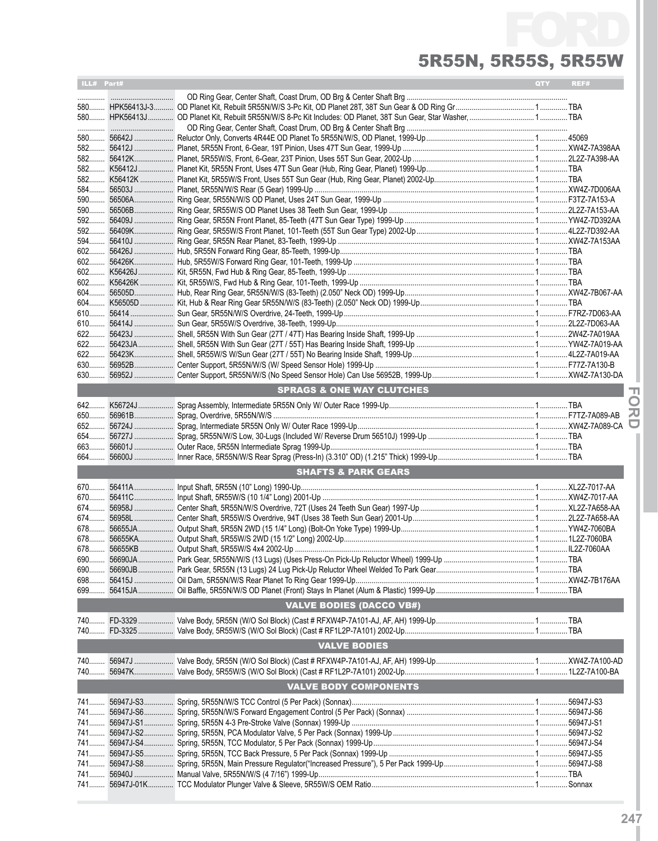# FC 5R55N, 5R55S, 5R55W

| ILL# Part# |            |                                                                                                                                   | QTY | REF# |
|------------|------------|-----------------------------------------------------------------------------------------------------------------------------------|-----|------|
|            |            |                                                                                                                                   |     |      |
|            |            |                                                                                                                                   |     |      |
|            |            |                                                                                                                                   |     |      |
|            |            |                                                                                                                                   |     |      |
|            |            |                                                                                                                                   |     |      |
|            |            |                                                                                                                                   |     |      |
|            |            |                                                                                                                                   |     |      |
|            |            |                                                                                                                                   |     |      |
|            |            |                                                                                                                                   |     |      |
|            |            |                                                                                                                                   |     |      |
|            |            |                                                                                                                                   |     |      |
|            | 590 56506B |                                                                                                                                   |     |      |
| 592        |            |                                                                                                                                   |     |      |
|            |            |                                                                                                                                   |     |      |
|            |            |                                                                                                                                   |     |      |
|            |            |                                                                                                                                   |     |      |
|            |            |                                                                                                                                   |     |      |
|            |            |                                                                                                                                   |     |      |
|            |            |                                                                                                                                   |     |      |
|            |            |                                                                                                                                   |     |      |
|            |            |                                                                                                                                   |     |      |
|            |            |                                                                                                                                   |     |      |
|            |            |                                                                                                                                   |     |      |
|            |            |                                                                                                                                   |     |      |
|            |            |                                                                                                                                   |     |      |
|            |            |                                                                                                                                   |     |      |
|            |            |                                                                                                                                   |     |      |
| 630        |            |                                                                                                                                   |     |      |
|            |            |                                                                                                                                   |     |      |
|            |            | <b>SPRAGS &amp; ONE WAY CLUTCHES</b>                                                                                              |     |      |
|            |            |                                                                                                                                   |     |      |
|            |            |                                                                                                                                   |     |      |
|            |            |                                                                                                                                   |     |      |
|            |            |                                                                                                                                   |     |      |
| 663        |            |                                                                                                                                   |     |      |
| 664        |            |                                                                                                                                   |     |      |
|            |            | <b>SHAFTS &amp; PARK GEARS</b>                                                                                                    |     |      |
|            |            |                                                                                                                                   |     |      |
|            |            |                                                                                                                                   |     |      |
|            |            |                                                                                                                                   |     |      |
|            |            |                                                                                                                                   |     |      |
|            |            |                                                                                                                                   |     |      |
|            |            |                                                                                                                                   |     |      |
|            |            |                                                                                                                                   |     |      |
|            |            |                                                                                                                                   |     |      |
|            |            |                                                                                                                                   |     |      |
|            |            |                                                                                                                                   |     |      |
|            |            |                                                                                                                                   |     |      |
|            |            |                                                                                                                                   |     |      |
|            |            | <b>VALVE BODIES (DACCO VB#)</b>                                                                                                   |     |      |
|            |            |                                                                                                                                   |     |      |
|            |            |                                                                                                                                   |     |      |
|            |            | <b>VALVE BODIES</b>                                                                                                               |     |      |
|            |            |                                                                                                                                   |     |      |
|            |            |                                                                                                                                   |     |      |
|            |            | 740……. 56947K………………… Valve Body, 5R55W/S (W/O Sol Block) (Cast # RF1L2P-7A101) 2002-Up………………………………………………………………………………1L2Z-7A100-BA |     |      |
|            |            | <b>VALVE BODY COMPONENTS</b>                                                                                                      |     |      |
|            |            |                                                                                                                                   |     |      |
|            |            |                                                                                                                                   |     |      |
|            |            |                                                                                                                                   |     |      |
|            |            |                                                                                                                                   |     |      |
|            |            |                                                                                                                                   |     |      |
|            |            |                                                                                                                                   |     |      |
|            |            |                                                                                                                                   |     |      |
|            |            |                                                                                                                                   |     |      |
|            |            |                                                                                                                                   |     |      |

**IFor**

**dI**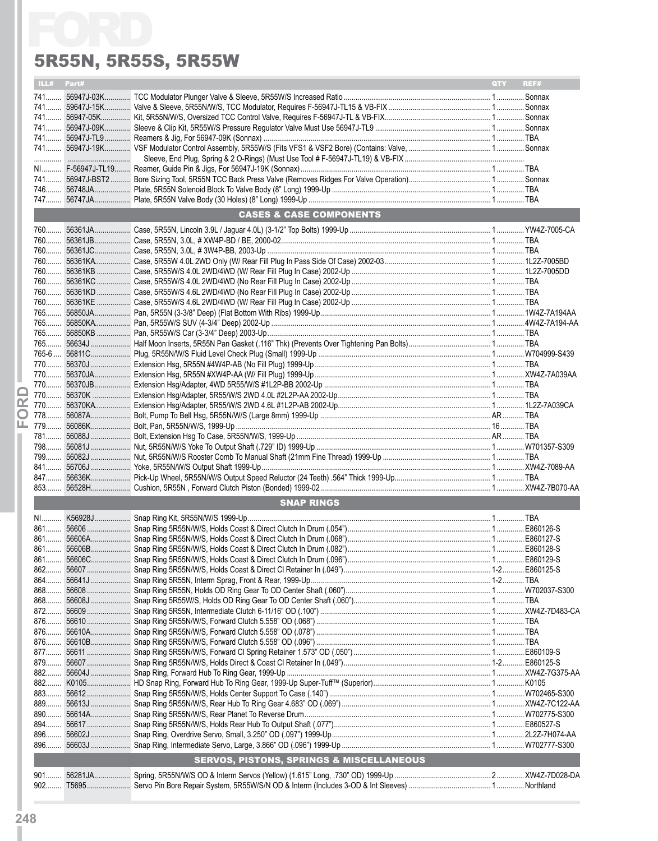#### 5R55N, 5R55S, 5R55W

|     |            | 5R55N, 5R55S, 5R55W                                 |            |      |
|-----|------------|-----------------------------------------------------|------------|------|
|     | ILL# Part# |                                                     | <b>QTY</b> | REF# |
|     |            |                                                     |            |      |
|     |            |                                                     |            |      |
|     |            |                                                     |            |      |
|     |            |                                                     |            |      |
|     |            |                                                     |            |      |
|     |            |                                                     |            |      |
|     |            |                                                     |            |      |
|     |            |                                                     |            |      |
|     |            |                                                     |            |      |
|     |            | <b>CASES &amp; CASE COMPONENTS</b>                  |            |      |
|     |            |                                                     |            |      |
|     |            |                                                     |            |      |
|     |            |                                                     |            |      |
|     |            |                                                     |            |      |
|     |            |                                                     |            |      |
|     |            |                                                     |            |      |
|     |            |                                                     |            |      |
|     |            |                                                     |            |      |
|     |            |                                                     |            |      |
|     |            |                                                     |            |      |
|     |            |                                                     |            |      |
|     |            |                                                     |            |      |
|     |            |                                                     |            |      |
|     |            |                                                     |            |      |
|     |            |                                                     |            |      |
|     |            |                                                     |            |      |
|     |            |                                                     |            |      |
| щ.  |            |                                                     |            |      |
|     |            |                                                     |            |      |
|     |            |                                                     |            |      |
|     |            |                                                     |            |      |
|     |            |                                                     |            |      |
| 853 |            |                                                     |            |      |
|     |            | <b>SNAP RINGS</b>                                   |            |      |
|     |            |                                                     |            |      |
|     |            |                                                     |            |      |
|     |            |                                                     |            |      |
|     |            |                                                     |            |      |
|     |            |                                                     |            |      |
|     |            |                                                     |            |      |
|     |            |                                                     |            |      |
|     |            |                                                     |            |      |
|     |            |                                                     |            |      |
|     |            |                                                     |            |      |
|     |            |                                                     |            |      |
|     |            |                                                     |            |      |
|     |            |                                                     |            |      |
|     |            |                                                     |            |      |
|     |            |                                                     |            |      |
|     |            |                                                     |            |      |
|     |            |                                                     |            |      |
|     |            |                                                     |            |      |
|     |            |                                                     |            |      |
|     |            |                                                     |            |      |
|     |            | <b>SERVOS, PISTONS, SPRINGS &amp; MISCELLANEOUS</b> |            |      |